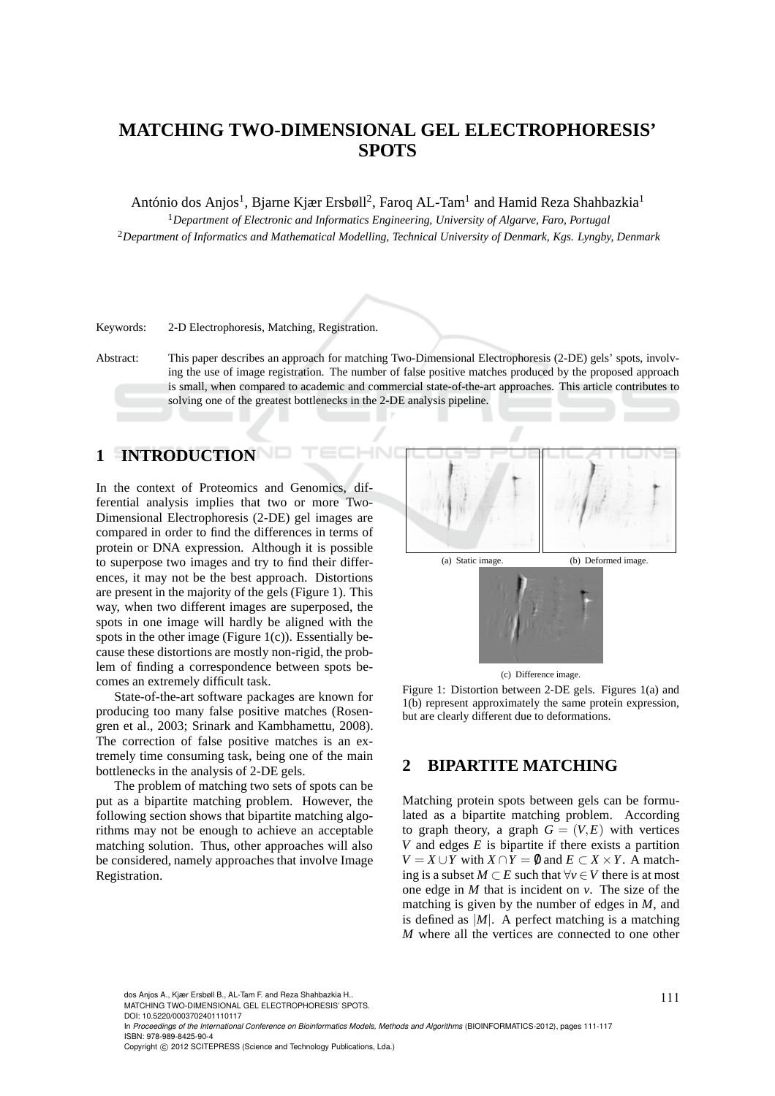# **MATCHING TWO-DIMENSIONAL GEL ELECTROPHORESIS' SPOTS**

António dos Anjos<sup>1</sup>, Bjarne Kjær Ersbøll<sup>2</sup>, Faroq AL-Tam<sup>1</sup> and Hamid Reza Shahbazkia<sup>1</sup>

<sup>1</sup>*Department of Electronic and Informatics Engineering, University of Algarve, Faro, Portugal* <sup>2</sup>*Department of Informatics and Mathematical Modelling, Technical University of Denmark, Kgs. Lyngby, Denmark*

Keywords: 2-D Electrophoresis, Matching, Registration.

Abstract: This paper describes an approach for matching Two-Dimensional Electrophoresis (2-DE) gels' spots, involving the use of image registration. The number of false positive matches produced by the proposed approach is small, when compared to academic and commercial state-of-the-art approaches. This article contributes to solving one of the greatest bottlenecks in the 2-DE analysis pipeline.

**INI** 

# **1 INTRODUCTION**

In the context of Proteomics and Genomics, differential analysis implies that two or more Two-Dimensional Electrophoresis (2-DE) gel images are compared in order to find the differences in terms of protein or DNA expression. Although it is possible to superpose two images and try to find their differences, it may not be the best approach. Distortions are present in the majority of the gels (Figure 1). This way, when two different images are superposed, the spots in one image will hardly be aligned with the spots in the other image (Figure 1(c)). Essentially because these distortions are mostly non-rigid, the problem of finding a correspondence between spots becomes an extremely difficult task.

State-of-the-art software packages are known for producing too many false positive matches (Rosengren et al., 2003; Srinark and Kambhamettu, 2008). The correction of false positive matches is an extremely time consuming task, being one of the main bottlenecks in the analysis of 2-DE gels.

The problem of matching two sets of spots can be put as a bipartite matching problem. However, the following section shows that bipartite matching algorithms may not be enough to achieve an acceptable matching solution. Thus, other approaches will also be considered, namely approaches that involve Image Registration.



(c) Difference image.

Figure 1: Distortion between 2-DE gels. Figures 1(a) and 1(b) represent approximately the same protein expression, but are clearly different due to deformations.

### **2 BIPARTITE MATCHING**

Matching protein spots between gels can be formulated as a bipartite matching problem. According to graph theory, a graph  $G = (V, E)$  with vertices *V* and edges *E* is bipartite if there exists a partition *V* = *X* ∪ *Y* with *X* ∩ *Y* = 0 and *E* ⊂ *X* × *Y*. A matching is a subset *M* ⊂ *E* such that ∀*v* ∈*V* there is at most one edge in *M* that is incident on *v*. The size of the matching is given by the number of edges in *M*, and is defined as  $|M|$ . A perfect matching is a matching *M* where all the vertices are connected to one other

dos Anjos A., Kjær Ersbøll B., AL-Tam F. and Reza Shahbazkia H..<br>MATCHING TWO-DIMENSIONAL GEL ELECTROPHORESIS' SPOTS.

DOI: 10.5220/0003702401110117

In *Proceedings of the International Conference on Bioinformatics Models, Methods and Algorithms* (BIOINFORMATICS-2012), pages 111-117 ISBN: 978-989-8425-90-4

Copyright © 2012 SCITEPRESS (Science and Technology Publications, Lda.)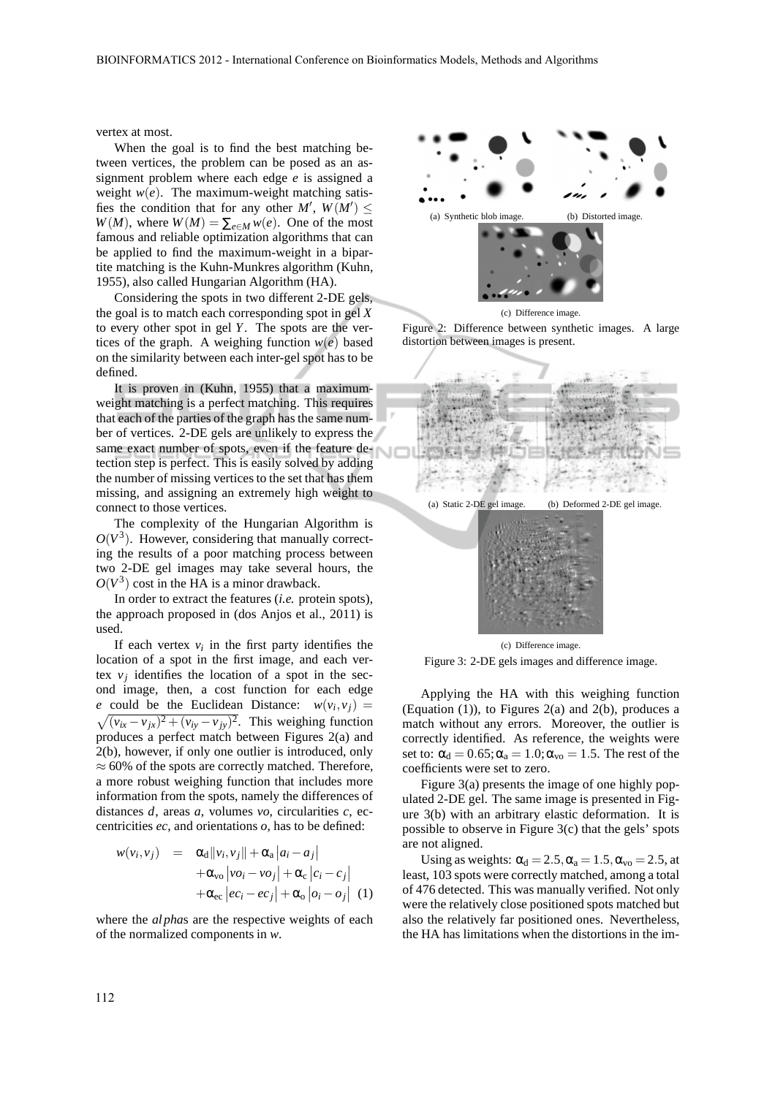vertex at most.

When the goal is to find the best matching between vertices, the problem can be posed as an assignment problem where each edge *e* is assigned a weight  $w(e)$ . The maximum-weight matching satisfies the condition that for any other  $M'$ ,  $W(M') \leq$  $W(M)$ , where  $W(M) = \sum_{e \in M} w(e)$ . One of the most famous and reliable optimization algorithms that can be applied to find the maximum-weight in a bipartite matching is the Kuhn-Munkres algorithm (Kuhn, 1955), also called Hungarian Algorithm (HA).

Considering the spots in two different 2-DE gels, the goal is to match each corresponding spot in gel *X* to every other spot in gel *Y*. The spots are the vertices of the graph. A weighing function  $w(e)$  based on the similarity between each inter-gel spot has to be defined.

It is proven in (Kuhn, 1955) that a maximumweight matching is a perfect matching. This requires that each of the parties of the graph has the same number of vertices. 2-DE gels are unlikely to express the same exact number of spots, even if the feature detection step is perfect. This is easily solved by adding the number of missing vertices to the set that has them missing, and assigning an extremely high weight to connect to those vertices.

The complexity of the Hungarian Algorithm is  $O(V^3)$ . However, considering that manually correcting the results of a poor matching process between two 2-DE gel images may take several hours, the  $O(V^3)$  cost in the HA is a minor drawback.

In order to extract the features (*i.e.* protein spots), the approach proposed in (dos Anjos et al., 2011) is used.

If each vertex  $v_i$  in the first party identifies the location of a spot in the first image, and each vertex  $v_j$  identifies the location of a spot in the second image, then, a cost function for each edge *e* could be the Euclidean Distance:  $w(v_i, v_i)$  = *v*<sub>*v*</sub><sup>*i*</sup>  $\frac{1}{\sqrt{(v_{ix} - v_{jx})^2 + (v_{iy} - v_{jy})^2}}$ . This weighing function produces a perfect match between Figures 2(a) and 2(b), however, if only one outlier is introduced, only  $\approx 60\%$  of the spots are correctly matched. Therefore, a more robust weighing function that includes more information from the spots, namely the differences of distances *d*, areas *a*, volumes *vo*, circularities *c*, eccentricities *ec*, and orientations *o*, has to be defined:

$$
w(v_i, v_j) = \alpha_d ||v_i, v_j|| + \alpha_a |a_i - a_j|
$$
  
+ 
$$
\alpha_{\infty} |v \circ i - v \circ j| + \alpha_c |c_i - c_j|
$$
  
+ 
$$
\alpha_{\infty} |e c_i - e c_j| + \alpha_o |o_i - o_j| \quad (1)
$$

where the *alpha*s are the respective weights of each of the normalized components in *w*.









(c) Difference image. Figure 3: 2-DE gels images and difference image.

Applying the HA with this weighing function (Equation  $(1)$ ), to Figures 2(a) and 2(b), produces a match without any errors. Moreover, the outlier is correctly identified. As reference, the weights were set to:  $\alpha_d = 0.65; \alpha_a = 1.0; \alpha_{vo} = 1.5$ . The rest of the coefficients were set to zero.

Figure 3(a) presents the image of one highly populated 2-DE gel. The same image is presented in Figure 3(b) with an arbitrary elastic deformation. It is possible to observe in Figure 3(c) that the gels' spots are not aligned.

Using as weights:  $\alpha_d = 2.5$ ,  $\alpha_a = 1.5$ ,  $\alpha_{vo} = 2.5$ , at least, 103 spots were correctly matched, among a total of 476 detected. This was manually verified. Not only were the relatively close positioned spots matched but also the relatively far positioned ones. Nevertheless, the HA has limitations when the distortions in the im-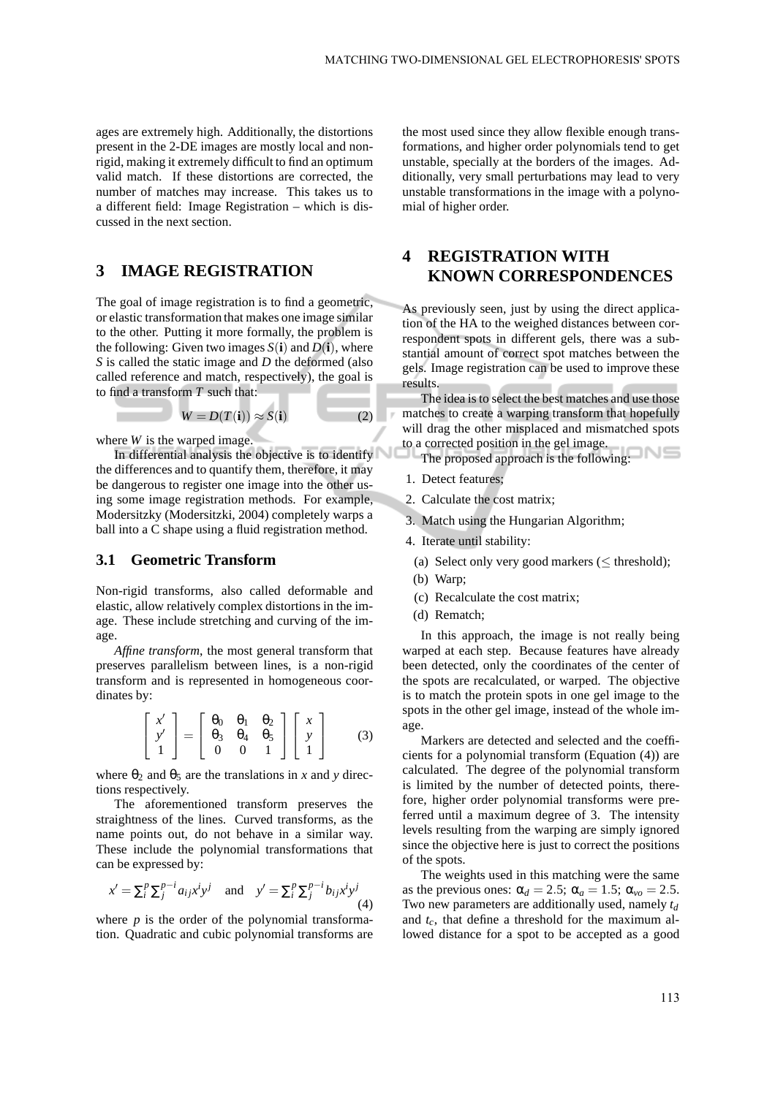ages are extremely high. Additionally, the distortions present in the 2-DE images are mostly local and nonrigid, making it extremely difficult to find an optimum valid match. If these distortions are corrected, the number of matches may increase. This takes us to a different field: Image Registration – which is discussed in the next section.

### **3 IMAGE REGISTRATION**

The goal of image registration is to find a geometric, or elastic transformation that makes one image similar to the other. Putting it more formally, the problem is the following: Given two images  $S(i)$  and  $D(i)$ , where *S* is called the static image and *D* the deformed (also called reference and match, respectively), the goal is to find a transform *T* such that:

$$
W = D(T(i)) \approx S(i) \tag{2}
$$

where *W* is the warped image.

In differential analysis the objective is to identify the differences and to quantify them, therefore, it may be dangerous to register one image into the other using some image registration methods. For example, Modersitzky (Modersitzki, 2004) completely warps a ball into a C shape using a fluid registration method.

#### **3.1 Geometric Transform**

Non-rigid transforms, also called deformable and elastic, allow relatively complex distortions in the image. These include stretching and curving of the image.

*Affine transform*, the most general transform that preserves parallelism between lines, is a non-rigid transform and is represented in homogeneous coordinates by:

$$
\begin{bmatrix} x' \\ y' \\ 1 \end{bmatrix} = \begin{bmatrix} \theta_0 & \theta_1 & \theta_2 \\ \theta_3 & \theta_4 & \theta_5 \\ 0 & 0 & 1 \end{bmatrix} \begin{bmatrix} x \\ y \\ 1 \end{bmatrix}
$$
 (3)

where  $\theta_2$  and  $\theta_5$  are the translations in *x* and *y* directions respectively.

The aforementioned transform preserves the straightness of the lines. Curved transforms, as the name points out, do not behave in a similar way. These include the polynomial transformations that can be expressed by:

$$
x' = \sum_{i}^{p} \sum_{j}^{p-i} a_{ij} x^{i} y^{j} \quad \text{and} \quad y' = \sum_{i}^{p} \sum_{j}^{p-i} b_{ij} x^{i} y^{j}
$$
\n(4)

where  $p$  is the order of the polynomial transformation. Quadratic and cubic polynomial transforms are

the most used since they allow flexible enough transformations, and higher order polynomials tend to get unstable, specially at the borders of the images. Additionally, very small perturbations may lead to very unstable transformations in the image with a polynomial of higher order.

## **4 REGISTRATION WITH KNOWN CORRESPONDENCES**

As previously seen, just by using the direct application of the HA to the weighed distances between correspondent spots in different gels, there was a substantial amount of correct spot matches between the gels. Image registration can be used to improve these results.

The idea is to select the best matches and use those matches to create a warping transform that hopefully will drag the other misplaced and mismatched spots to a corrected position in the gel image.

The proposed approach is the following:

- 1. Detect features;
- 2. Calculate the cost matrix;
- 3. Match using the Hungarian Algorithm;
- 4. Iterate until stability:
	- (a) Select only very good markers ( $\leq$  threshold);
	- (b) Warp;
	- (c) Recalculate the cost matrix;
	- (d) Rematch;

In this approach, the image is not really being warped at each step. Because features have already been detected, only the coordinates of the center of the spots are recalculated, or warped. The objective is to match the protein spots in one gel image to the spots in the other gel image, instead of the whole image.

Markers are detected and selected and the coefficients for a polynomial transform (Equation (4)) are calculated. The degree of the polynomial transform is limited by the number of detected points, therefore, higher order polynomial transforms were preferred until a maximum degree of 3. The intensity levels resulting from the warping are simply ignored since the objective here is just to correct the positions of the spots.

The weights used in this matching were the same as the previous ones:  $\alpha_d = 2.5$ ;  $\alpha_a = 1.5$ ;  $\alpha_{vo} = 2.5$ . Two new parameters are additionally used, namely *t<sup>d</sup>* and *tc*, that define a threshold for the maximum allowed distance for a spot to be accepted as a good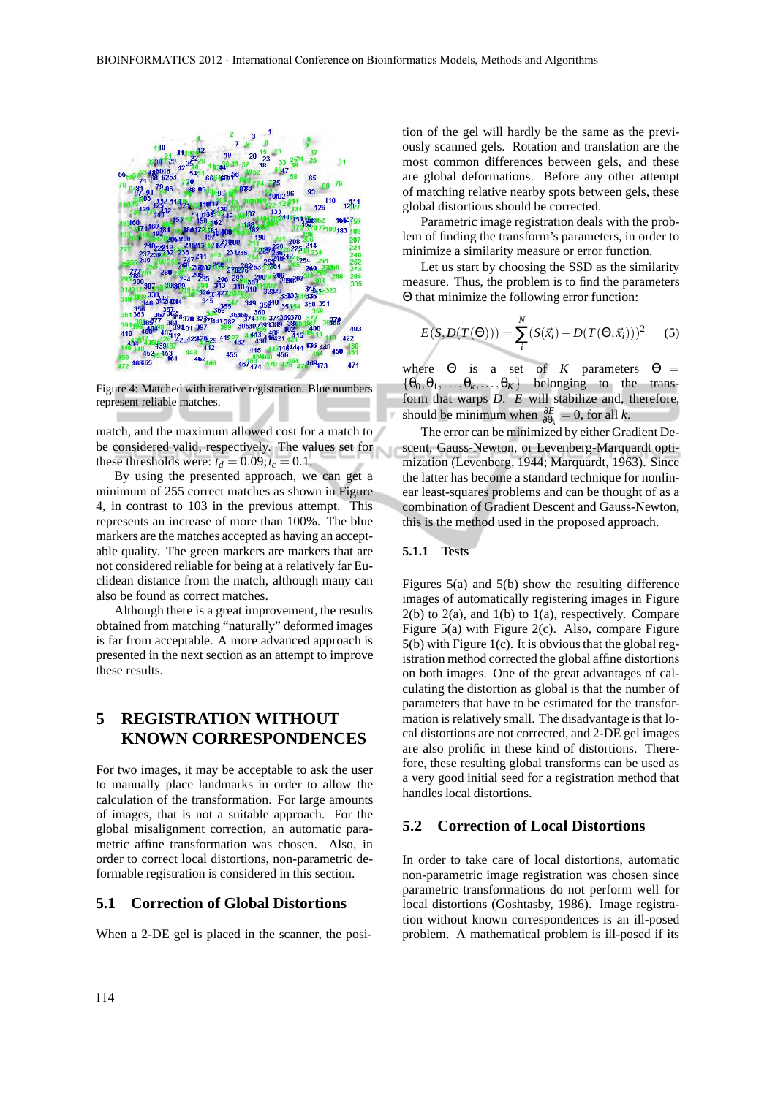

Figure 4: Matched with iterative registration. Blue numbers represent reliable matches.

match, and the maximum allowed cost for a match to be considered valid, respectively. The values set for these thresholds were:  $t_d = 0.09$ ;  $t_c = 0.1$ .

By using the presented approach, we can get a minimum of 255 correct matches as shown in Figure 4, in contrast to 103 in the previous attempt. This represents an increase of more than 100%. The blue markers are the matches accepted as having an acceptable quality. The green markers are markers that are not considered reliable for being at a relatively far Euclidean distance from the match, although many can also be found as correct matches.

Although there is a great improvement, the results obtained from matching "naturally" deformed images is far from acceptable. A more advanced approach is presented in the next section as an attempt to improve these results.

## **5 REGISTRATION WITHOUT KNOWN CORRESPONDENCES**

For two images, it may be acceptable to ask the user to manually place landmarks in order to allow the calculation of the transformation. For large amounts of images, that is not a suitable approach. For the global misalignment correction, an automatic parametric affine transformation was chosen. Also, in order to correct local distortions, non-parametric deformable registration is considered in this section.

### **5.1 Correction of Global Distortions**

When a 2-DE gel is placed in the scanner, the posi-

tion of the gel will hardly be the same as the previously scanned gels. Rotation and translation are the most common differences between gels, and these are global deformations. Before any other attempt of matching relative nearby spots between gels, these global distortions should be corrected.

Parametric image registration deals with the problem of finding the transform's parameters, in order to minimize a similarity measure or error function.

Let us start by choosing the SSD as the similarity measure. Thus, the problem is to find the parameters Θ that minimize the following error function:

$$
E(S, D(T(\Theta))) = \sum_{i}^{N} (S(\vec{x_i}) - D(T(\Theta, \vec{x_i})))^{2}
$$
 (5)

where  $\Theta$  is a set of *K* parameters  $\Theta =$  $\{\theta_0, \theta_1, \ldots, \theta_k, \ldots, \theta_K\}$  belonging to the transform that warps *D*. *E* will stabilize and, therefore, should be minimum when  $\frac{\partial E}{\partial \theta_k} = 0$ , for all *k*.

The error can be minimized by either Gradient Descent, Gauss-Newton, or Levenberg-Marquardt optimization (Levenberg, 1944; Marquardt, 1963). Since the latter has become a standard technique for nonlinear least-squares problems and can be thought of as a combination of Gradient Descent and Gauss-Newton, this is the method used in the proposed approach.

#### **5.1.1 Tests**

Figures 5(a) and 5(b) show the resulting difference images of automatically registering images in Figure  $2(b)$  to  $2(a)$ , and  $1(b)$  to  $1(a)$ , respectively. Compare Figure 5(a) with Figure 2(c). Also, compare Figure 5(b) with Figure 1(c). It is obvious that the global registration method corrected the global affine distortions on both images. One of the great advantages of calculating the distortion as global is that the number of parameters that have to be estimated for the transformation is relatively small. The disadvantage is that local distortions are not corrected, and 2-DE gel images are also prolific in these kind of distortions. Therefore, these resulting global transforms can be used as a very good initial seed for a registration method that handles local distortions.

#### **5.2 Correction of Local Distortions**

In order to take care of local distortions, automatic non-parametric image registration was chosen since parametric transformations do not perform well for local distortions (Goshtasby, 1986). Image registration without known correspondences is an ill-posed problem. A mathematical problem is ill-posed if its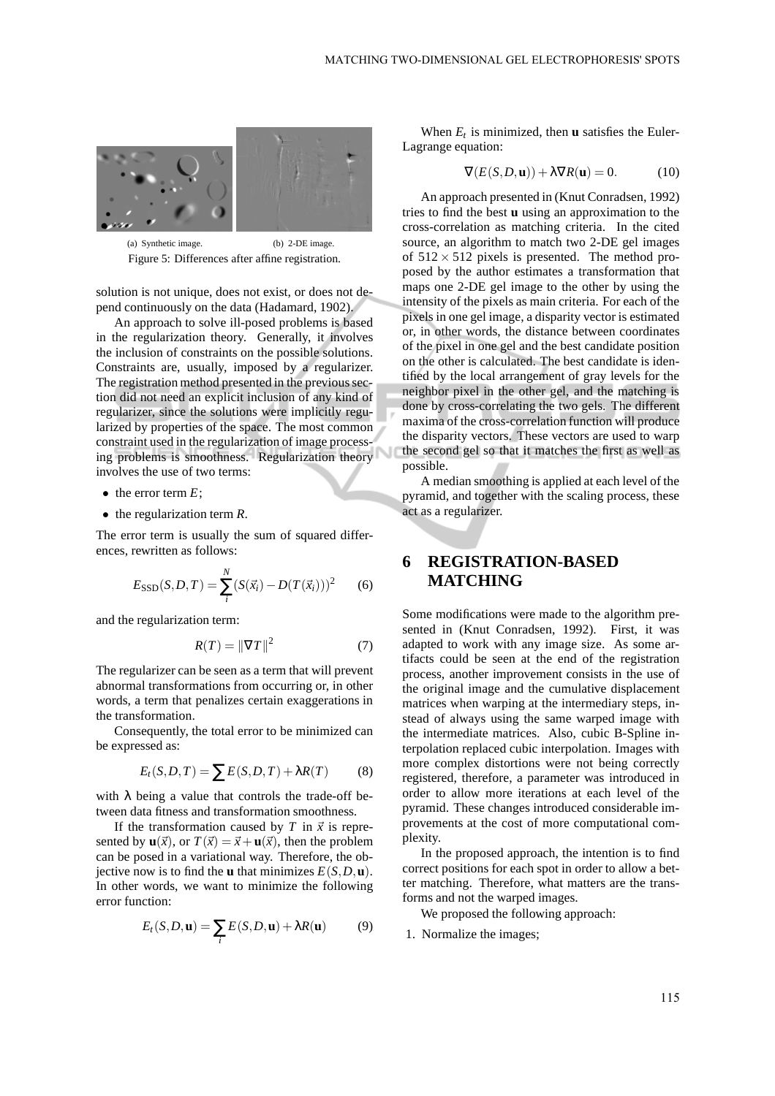

(a) Synthetic image. (b) 2-DE image. Figure 5: Differences after affine registration.

solution is not unique, does not exist, or does not depend continuously on the data (Hadamard, 1902).

An approach to solve ill-posed problems is based in the regularization theory. Generally, it involves the inclusion of constraints on the possible solutions. Constraints are, usually, imposed by a regularizer. The registration method presented in the previous section did not need an explicit inclusion of any kind of regularizer, since the solutions were implicitly regularized by properties of the space. The most common constraint used in the regularization of image processing problems is smoothness. Regularization theory involves the use of two terms:

- the error term *E*;
- the regularization term *R*.

The error term is usually the sum of squared differences, rewritten as follows:

$$
E_{\text{SSD}}(S, D, T) = \sum_{i}^{N} (S(\vec{x_i}) - D(T(\vec{x_i})))^2
$$
 (6)

and the regularization term:

$$
R(T) = \|\nabla T\|^2 \tag{7}
$$

The regularizer can be seen as a term that will prevent abnormal transformations from occurring or, in other words, a term that penalizes certain exaggerations in the transformation.

Consequently, the total error to be minimized can be expressed as:

$$
E_t(S, D, T) = \sum E(S, D, T) + \lambda R(T) \tag{8}
$$

with  $\lambda$  being a value that controls the trade-off between data fitness and transformation smoothness.

If the transformation caused by *T* in  $\vec{x}$  is represented by  $\mathbf{u}(\vec{x})$ , or  $T(\vec{x}) = \vec{x} + \mathbf{u}(\vec{x})$ , then the problem can be posed in a variational way. Therefore, the objective now is to find the **u** that minimizes  $E(S, D, \mathbf{u})$ . In other words, we want to minimize the following error function:

$$
E_t(S, D, \mathbf{u}) = \sum_i E(S, D, \mathbf{u}) + \lambda R(\mathbf{u})
$$
 (9)

When  $E_t$  is minimized, then **u** satisfies the Euler-Lagrange equation:

$$
\nabla(E(S, D, \mathbf{u})) + \lambda \nabla R(\mathbf{u}) = 0.
$$
 (10)

An approach presented in (Knut Conradsen, 1992) tries to find the best **u** using an approximation to the cross-correlation as matching criteria. In the cited source, an algorithm to match two 2-DE gel images of  $512 \times 512$  pixels is presented. The method proposed by the author estimates a transformation that maps one 2-DE gel image to the other by using the intensity of the pixels as main criteria. For each of the pixels in one gel image, a disparity vector is estimated or, in other words, the distance between coordinates of the pixel in one gel and the best candidate position on the other is calculated. The best candidate is identified by the local arrangement of gray levels for the neighbor pixel in the other gel, and the matching is done by cross-correlating the two gels. The different maxima of the cross-correlation function will produce the disparity vectors. These vectors are used to warp the second gel so that it matches the first as well as possible.

A median smoothing is applied at each level of the pyramid, and together with the scaling process, these act as a regularizer.

## **6 REGISTRATION-BASED MATCHING**

Some modifications were made to the algorithm presented in (Knut Conradsen, 1992). First, it was adapted to work with any image size. As some artifacts could be seen at the end of the registration process, another improvement consists in the use of the original image and the cumulative displacement matrices when warping at the intermediary steps, instead of always using the same warped image with the intermediate matrices. Also, cubic B-Spline interpolation replaced cubic interpolation. Images with more complex distortions were not being correctly registered, therefore, a parameter was introduced in order to allow more iterations at each level of the pyramid. These changes introduced considerable improvements at the cost of more computational complexity.

In the proposed approach, the intention is to find correct positions for each spot in order to allow a better matching. Therefore, what matters are the transforms and not the warped images.

We proposed the following approach:

1. Normalize the images;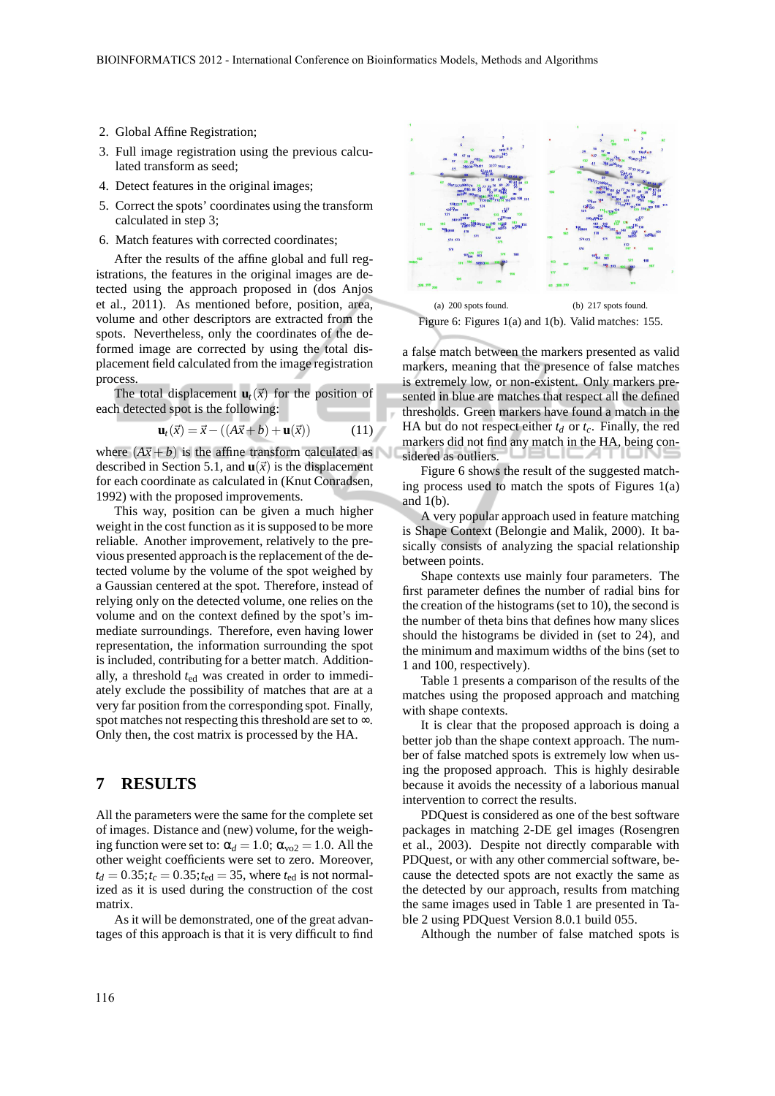- 2. Global Affine Registration;
- 3. Full image registration using the previous calculated transform as seed;
- 4. Detect features in the original images;
- 5. Correct the spots' coordinates using the transform calculated in step 3;
- 6. Match features with corrected coordinates;

After the results of the affine global and full registrations, the features in the original images are detected using the approach proposed in (dos Anjos et al., 2011). As mentioned before, position, area, volume and other descriptors are extracted from the spots. Nevertheless, only the coordinates of the deformed image are corrected by using the total displacement field calculated from the image registration process.

The total displacement  $\mathbf{u}_t(\vec{x})$  for the position of each detected spot is the following:

$$
\mathbf{u}_t(\vec{x}) = \vec{x} - ((A\vec{x} + b) + \mathbf{u}(\vec{x})) \tag{11}
$$

where  $(A\vec{x} + b)$  is the affine transform calculated as described in Section 5.1, and  $\mathbf{u}(\vec{x})$  is the displacement for each coordinate as calculated in (Knut Conradsen, 1992) with the proposed improvements.

This way, position can be given a much higher weight in the cost function as it is supposed to be more reliable. Another improvement, relatively to the previous presented approach is the replacement of the detected volume by the volume of the spot weighed by a Gaussian centered at the spot. Therefore, instead of relying only on the detected volume, one relies on the volume and on the context defined by the spot's immediate surroundings. Therefore, even having lower representation, the information surrounding the spot is included, contributing for a better match. Additionally, a threshold *t*ed was created in order to immediately exclude the possibility of matches that are at a very far position from the corresponding spot. Finally, spot matches not respecting this threshold are set to ∞. Only then, the cost matrix is processed by the HA.

#### **7 RESULTS**

All the parameters were the same for the complete set of images. Distance and (new) volume, for the weighing function were set to:  $\alpha_d = 1.0$ ;  $\alpha_{\text{vo2}} = 1.0$ . All the other weight coefficients were set to zero. Moreover,  $t_d = 0.35; t_c = 0.35; t_{\text{ed}} = 35$ , where  $t_{\text{ed}}$  is not normalized as it is used during the construction of the cost matrix.

As it will be demonstrated, one of the great advantages of this approach is that it is very difficult to find



Figure 6: Figures 1(a) and 1(b). Valid matches: 155.

a false match between the markers presented as valid markers, meaning that the presence of false matches is extremely low, or non-existent. Only markers presented in blue are matches that respect all the defined thresholds. Green markers have found a match in the HA but do not respect either  $t_d$  or  $t_c$ . Finally, the red markers did not find any match in the HA, being considered as outliers.

Figure 6 shows the result of the suggested matching process used to match the spots of Figures 1(a) and  $1(b)$ .

A very popular approach used in feature matching is Shape Context (Belongie and Malik, 2000). It basically consists of analyzing the spacial relationship between points.

Shape contexts use mainly four parameters. The first parameter defines the number of radial bins for the creation of the histograms (set to 10), the second is the number of theta bins that defines how many slices should the histograms be divided in (set to 24), and the minimum and maximum widths of the bins (set to 1 and 100, respectively).

Table 1 presents a comparison of the results of the matches using the proposed approach and matching with shape contexts.

It is clear that the proposed approach is doing a better job than the shape context approach. The number of false matched spots is extremely low when using the proposed approach. This is highly desirable because it avoids the necessity of a laborious manual intervention to correct the results.

PDQuest is considered as one of the best software packages in matching 2-DE gel images (Rosengren et al., 2003). Despite not directly comparable with PDQuest, or with any other commercial software, because the detected spots are not exactly the same as the detected by our approach, results from matching the same images used in Table 1 are presented in Table 2 using PDQuest Version 8.0.1 build 055.

Although the number of false matched spots is